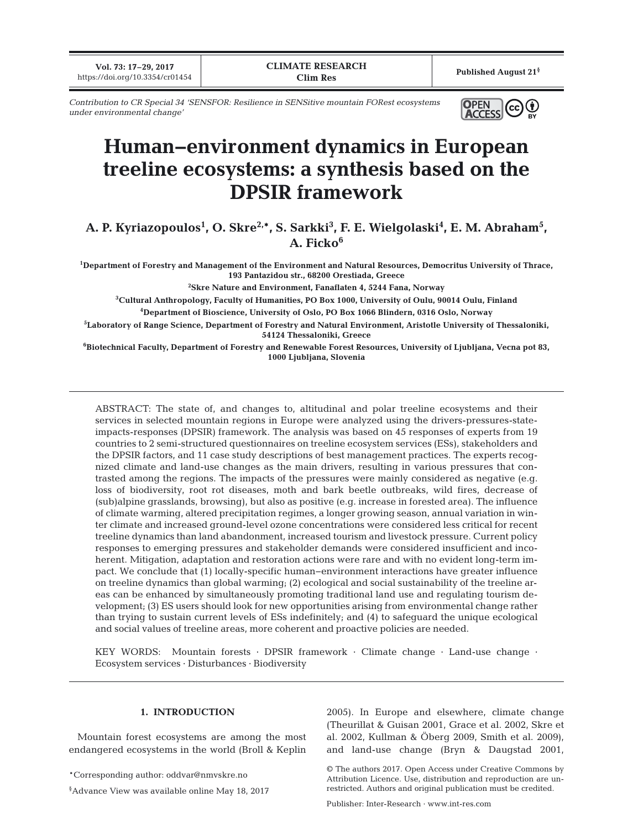**Vol. 73: 17–29, 2017** https://doi.org/10.3354/cr01454

**Published August 21§**

*Contribution to CR Special 34 'SENSFOR: Resilience in SENSitive mountain FORest ecosystems under environmental change'*

# **Human−environment dynamics in European treeline ecosystems: a synthesis based on the DPSIR framework**

A. P. Kyriazopoulos<sup>1</sup>, O. Skre<sup>2,\*</sup>, S. Sarkki<sup>3</sup>, F. E. Wielgolaski<sup>4</sup>, E. M. Abraham<sup>5</sup>, A. Ficko<sup>6</sup>

**1 Department of Forestry and Management of the Environment and Natural Resources, Democritus University of Thrace, 193 Pantazidou str., 68200 Orestiada, Greece**

**2 Skre Nature and Environment, Fanaflaten 4, 5244 Fana, Norway**

**3 Cultural Anthropology, Faculty of Humanities, PO Box 1000, University of Oulu, 90014 Oulu, Finland 4 Department of Bioscience, University of Oslo, PO Box 1066 Blindern, 0316 Oslo, Norway**

**5 Laboratory of Range Science, Department of Forestry and Natural Environment, Aristotle University of Thessaloniki, 54124 Thessaloniki, Greece**

**6 Biotechnical Faculty, Department of Forestry and Renewable Forest Resources, University of Ljubljana, Vecna pot 83, 1000 Ljubljana, Slovenia**

ABSTRACT: The state of, and changes to, altitudinal and polar treeline ecosystems and their services in selected mountain regions in Europe were analyzed using the drivers-pressures-stateimpacts-responses (DPSIR) framework. The analysis was based on 45 responses of experts from 19 countries to 2 semi-structured questionnaires on treeline ecosystem services (ESs), stakeholders and the DPSIR factors, and 11 case study descriptions of best management practices. The experts recognized climate and land-use changes as the main drivers, resulting in various pressures that contrasted among the regions. The impacts of the pressures were mainly considered as negative (e.g. loss of biodiversity, root rot diseases, moth and bark beetle outbreaks, wild fires, decrease of (sub)alpine grasslands, browsing), but also as positive (e.g. increase in forested area). The influence of climate warming, altered precipitation regimes, a longer growing season, annual variation in winter climate and increased ground-level ozone concentrations were considered less critical for recent treeline dynamics than land abandonment, increased tourism and livestock pressure. Current policy responses to emerging pressures and stakeholder demands were considered insufficient and incoherent. Mitigation, adaptation and restoration actions were rare and with no evident long-term impact. We conclude that (1) locally-specific human−environment interactions have greater influence on treeline dynamics than global warming; (2) ecological and social sustainability of the treeline areas can be enhanced by simultaneously promoting traditional land use and regulating tourism development; (3) ES users should look for new opportunities arising from environmental change rather than trying to sustain current levels of ESs indefinitely; and (4) to safeguard the unique ecological and social values of treeline areas, more coherent and proactive policies are needed.

KEY WORDS: Mountain forests · DPSIR framework · Climate change · Land-use change · Ecosystem services · Disturbances · Biodiversity

## **1. INTRODUCTION**

Mountain forest ecosystems are among the most endangered ecosystems in the world (Broll & Keplin

\*Corresponding author: oddvar@nmvskre.no

§ Advance View was available online May 18, 2017

2005). In Europe and elsewhere, climate change (Theurillat & Guisan 2001, Grace et al. 2002, Skre et al. 2002, Kullman & Öberg 2009, Smith et al. 2009), and land-use change (Bryn & Daugstad 2001,

© The authors 2017. Open Access under Creative Commons by Attribution Licence. Use, distribution and reproduction are unrestricted. Authors and original publication must be credited.

Publisher: Inter-Research · www.int-res.com

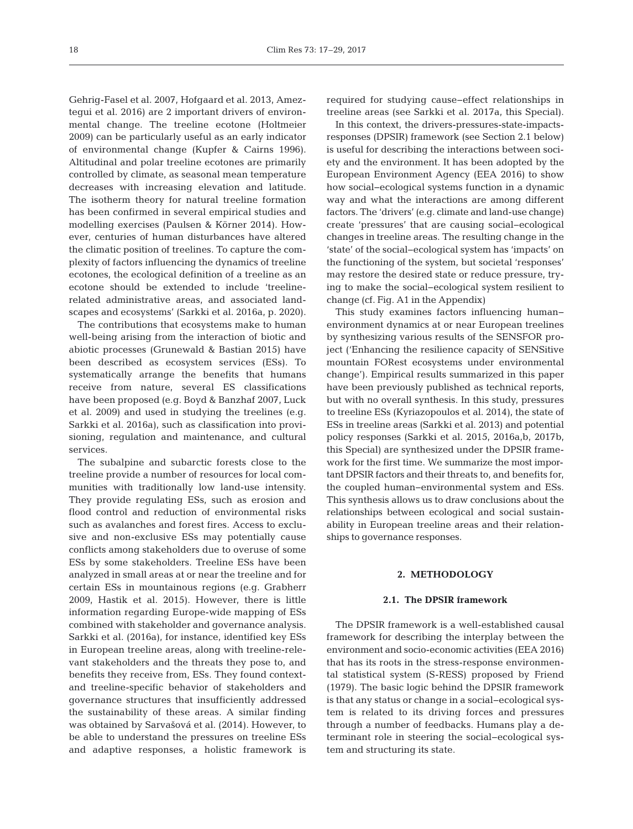Gehrig-Fasel et al. 2007, Hofgaard et al. 2013, Amez tequi et al. 2016) are 2 important drivers of environmental change. The treeline ecotone (Holtmeier 2009) can be particularly useful as an early indicator of environmental change (Kupfer & Cairns 1996). Altitudinal and polar treeline ecotones are primarily controlled by climate, as seasonal mean temperature decreases with increasing elevation and latitude. The isotherm theory for natural treeline formation has been confirmed in several empirical studies and modelling exercises (Paulsen & Körner 2014). However, centuries of human disturbances have altered the climatic position of treelines. To capture the complexity of factors influencing the dynamics of treeline ecotones, the ecological definition of a treeline as an ecotone should be extended to include 'treelinerelated administrative areas, and associated landscapes and ecosystems' (Sarkki et al. 2016a, p. 2020).

The contributions that ecosystems make to human well-being arising from the interaction of biotic and abiotic processes (Grunewald & Bastian 2015) have been described as ecosystem services (ESs). To systematically arrange the benefits that humans receive from nature, several ES classifications have been proposed (e.g. Boyd & Banzhaf 2007, Luck et al. 2009) and used in studying the treelines (e.g. Sarkki et al. 2016a), such as classification into provisioning, regulation and maintenance, and cultural services.

The subalpine and subarctic forests close to the treeline provide a number of resources for local communities with traditionally low land-use intensity. They provide regulating ESs, such as erosion and flood control and reduction of environmental risks such as avalanches and forest fires. Access to exclusive and non-exclusive ESs may potentially cause conflicts among stakeholders due to overuse of some ESs by some stakeholders. Treeline ESs have been analyzed in small areas at or near the treeline and for certain ESs in mountainous regions (e.g. Grabherr 2009, Hastik et al. 2015). However, there is little information regarding Europe-wide mapping of ESs combined with stakeholder and governance analysis. Sarkki et al. (2016a), for instance, identified key ESs in European treeline areas, along with treeline-relevant stakeholders and the threats they pose to, and benefits they receive from, ESs. They found contextand treeline-specific behavior of stakeholders and governance structures that insufficiently addressed the sustainability of these areas. A similar finding was obtained by Sarvašová et al. (2014). However, to be able to understand the pressures on treeline ESs and adaptive responses, a holistic framework is required for studying cause−effect relationships in treeline areas (see Sarkki et al. 2017a, this Special).

In this context, the drivers-pressures-state-impactsresponses (DPSIR) framework (see Section 2.1 below) is useful for describing the interactions between society and the environment. It has been adopted by the European Environment Agency (EEA 2016) to show how social− ecological systems function in a dynamic way and what the interactions are among different factors. The 'drivers' (e.g. climate and land-use change) create 'pressures' that are causing social−ecological changes in treeline areas. The resulting change in the 'state' of the social−ecological system has 'impacts' on the functioning of the system, but societal 'responses' may restore the desired state or reduce pressure, trying to make the social−ecological system resilient to change (cf. Fig. A1 in the Appendix)

This study examines factors influencing human− environment dynamics at or near European treelines by synthesizing various results of the SENSFOR project ('Enhancing the resilience capacity of SENSitive mountain FORest ecosystems under environmental change'). Empirical results summarized in this paper have been previously published as technical reports, but with no overall synthesis. In this study, pressures to treeline ESs (Kyriazopoulos et al. 2014), the state of ESs in treeline areas (Sarkki et al. 2013) and potential policy responses (Sarkki et al. 2015, 2016a,b, 2017b, this Special) are synthesized under the DPSIR framework for the first time. We summarize the most important DPSIR factors and their threats to, and benefits for, the coupled human–environmental system and ESs. This synthesis allows us to draw conclusions about the relationships between ecological and social sustainability in European treeline areas and their relationships to governance responses.

# **2. METHODOLOGY**

#### **2.1. The DPSIR framework**

The DPSIR framework is a well-established causal framework for describing the interplay between the environment and socio-economic activities (EEA 2016) that has its roots in the stress-response environmental statistical system (S-RESS) proposed by Friend (1979). The basic logic behind the DPSIR framework is that any status or change in a social−ecological system is related to its driving forces and pressures through a number of feedbacks. Humans play a de terminant role in steering the social−ecological system and structuring its state.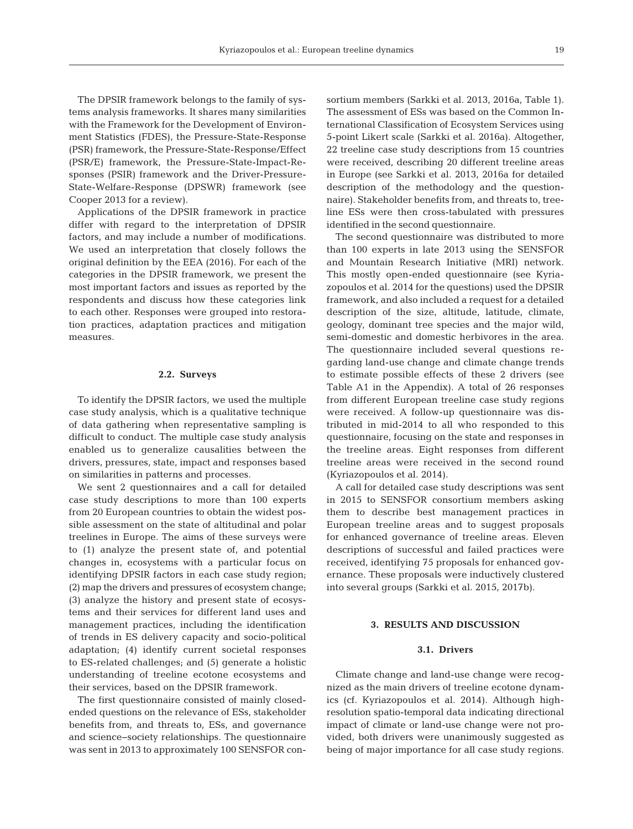The DPSIR framework belongs to the family of systems analysis frameworks. It shares many similarities with the Framework for the Development of Environment Statistics (FDES), the Pressure-State-Response (PSR) framework, the Pressure-State-Response/Effect (PSR/E) framework, the Pressure-State-Impact-Re sponses (PSIR) framework and the Driver-Pressure-State-Welfare-Response (DPSWR) framework (see Cooper 2013 for a review).

Applications of the DPSIR framework in practice differ with regard to the interpretation of DPSIR factors, and may include a number of modifications. We used an interpretation that closely follows the original definition by the EEA (2016). For each of the categories in the DPSIR framework, we present the most important factors and issues as reported by the respondents and discuss how these categories link to each other. Responses were grouped into restoration practices, adaptation practices and mitigation measures.

## **2.2. Surveys**

To identify the DPSIR factors, we used the multiple case study analysis, which is a qualitative technique of data gathering when representative sampling is difficult to conduct. The multiple case study analysis enabled us to generalize causalities between the drivers, pressures, state, impact and responses based on similarities in patterns and processes.

We sent 2 questionnaires and a call for detailed case study descriptions to more than 100 experts from 20 European countries to obtain the widest possible assessment on the state of altitudinal and polar treelines in Europe. The aims of these surveys were to (1) analyze the present state of, and potential changes in, ecosystems with a particular focus on identifying DPSIR factors in each case study region; (2) map the drivers and pressures of ecosystem change; (3) analyze the history and present state of ecosystems and their services for different land uses and management practices, including the identification of trends in ES delivery capacity and socio-political adaptation; (4) identify current societal responses to ES-related challenges; and (5) generate a holistic understanding of treeline ecotone ecosystems and their services, based on the DPSIR framework.

The first questionnaire consisted of mainly closedended questions on the relevance of ESs, stakeholder benefits from, and threats to, ESs, and governance and science−society relationships. The questionnaire was sent in 2013 to approximately 100 SENSFOR consortium members (Sarkki et al. 2013, 2016a, Table 1). The assessment of ESs was based on the Common International Classification of Ecosystem Services using 5-point Likert scale (Sarkki et al. 2016a). Altogether, 22 treeline case study descriptions from 15 countries were received, describing 20 different treeline areas in Europe (see Sarkki et al. 2013, 2016a for detailed description of the methodology and the questionnaire). Stakeholder benefits from, and threats to, treeline ESs were then cross-tabulated with pressures identified in the second questionnaire.

The second questionnaire was distributed to more than 100 experts in late 2013 using the SENSFOR and Mountain Research Initiative (MRI) network. This mostly open-ended questionnaire (see Kyriazopoulos et al. 2014 for the questions) used the DPSIR framework, and also included a request for a detailed description of the size, altitude, latitude, climate, geology, dominant tree species and the major wild, semi-domestic and domestic herbivores in the area. The questionnaire included several questions regarding land-use change and climate change trends to estimate possible effects of these 2 drivers (see Table A1 in the Appendix). A total of 26 responses from different European treeline case study regions were received. A follow-up questionnaire was distributed in mid-2014 to all who responded to this questionnaire, focusing on the state and responses in the treeline areas. Eight responses from different treeline areas were received in the second round (Kyriazopoulos et al. 2014).

A call for detailed case study descriptions was sent in 2015 to SENSFOR consortium members asking them to describe best management practices in European treeline areas and to suggest proposals for enhanced governance of treeline areas. Eleven descriptions of successful and failed practices were received, identifying 75 proposals for enhanced governance. These proposals were inductively clustered into several groups (Sarkki et al. 2015, 2017b).

## **3. RESULTS AND DISCUSSION**

# **3.1. Drivers**

Climate change and land-use change were recognized as the main drivers of treeline ecotone dynamics (cf. Kyriazopoulos et al. 2014). Although highresolution spatio-temporal data indicating directional impact of climate or land-use change were not provided, both drivers were unanimously suggested as being of major importance for all case study regions.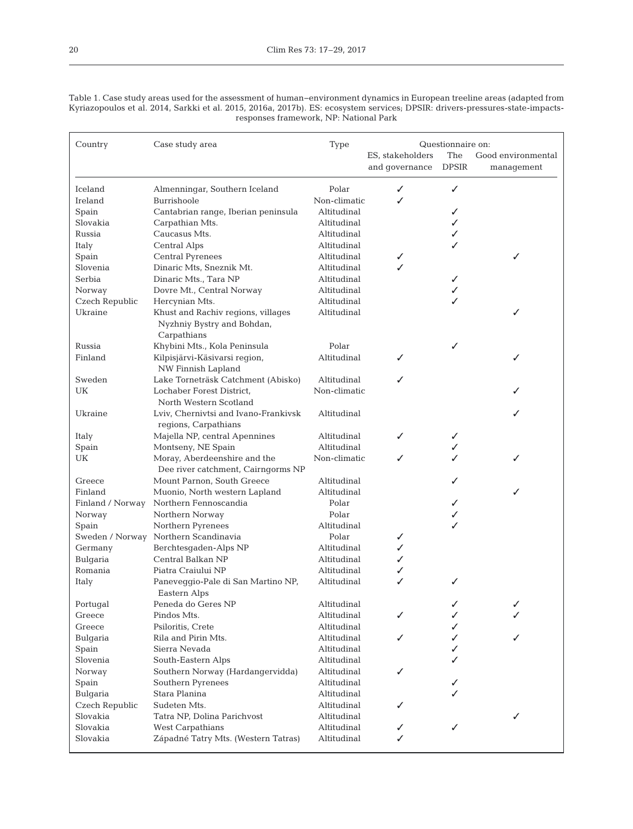Table 1. Case study areas used for the assessment of human−environment dynamics in European treeline areas (adapted from Kyriazopoulos et al. 2014, Sarkki et al. 2015, 2016a, 2017b). ES: ecosystem services; DPSIR: drivers-pressures-state-impactsresponses framework, NP: National Park

| Country          | Case study area                      | <b>Type</b>  |                  | Questionnaire on: |                    |
|------------------|--------------------------------------|--------------|------------------|-------------------|--------------------|
|                  |                                      |              | ES, stakeholders | The               | Good environmental |
|                  |                                      |              | and governance   | <b>DPSIR</b>      | management         |
| Iceland          | Almenningar, Southern Iceland        | Polar        | ✓                | ✓                 |                    |
| Ireland          | Burrishoole                          | Non-climatic | ✓                |                   |                    |
| Spain            | Cantabrian range, Iberian peninsula  | Altitudinal  |                  |                   |                    |
| Slovakia         | Carpathian Mts.                      | Altitudinal  |                  | ✓                 |                    |
| Russia           | Caucasus Mts.                        | Altitudinal  |                  | ✓                 |                    |
| Italy            | Central Alps                         | Altitudinal  |                  | ✓                 |                    |
| Spain            | Central Pyrenees                     | Altitudinal  | ✓                |                   | ✓                  |
| Slovenia         | Dinaric Mts, Sneznik Mt.             | Altitudinal  | ✓                |                   |                    |
| Serbia           | Dinaric Mts., Tara NP                | Altitudinal  |                  | ✓                 |                    |
| Norway           | Dovre Mt., Central Norway            | Altitudinal  |                  | ✓                 |                    |
| Czech Republic   | Hercynian Mts.                       | Altitudinal  |                  | ✓                 |                    |
| Ukraine          | Khust and Rachiv regions, villages   | Altitudinal  |                  |                   | ✓                  |
|                  | Nyzhniy Bystry and Bohdan,           |              |                  |                   |                    |
|                  | Carpathians                          |              |                  |                   |                    |
| Russia           | Khybini Mts., Kola Peninsula         | Polar        |                  | ✓                 |                    |
| Finland          | Kilpisjärvi-Käsivarsi region,        | Altitudinal  | ✓                |                   | ✓                  |
|                  | NW Finnish Lapland                   |              |                  |                   |                    |
| Sweden           | Lake Torneträsk Catchment (Abisko)   | Altitudinal  | ✓                |                   |                    |
| UK               | Lochaber Forest District,            | Non-climatic |                  |                   |                    |
|                  | North Western Scotland               |              |                  |                   |                    |
| Ukraine          | Lviv, Chernivtsi and Ivano-Frankivsk | Altitudinal  |                  |                   | ✓                  |
|                  | regions, Carpathians                 |              |                  |                   |                    |
| Italy            | Majella NP, central Apennines        | Altitudinal  | ✓                | ✓                 |                    |
| Spain            | Montseny, NE Spain                   | Altitudinal  |                  | ✓                 |                    |
| UK               | Moray, Aberdeenshire and the         | Non-climatic | ✓                |                   | ✓                  |
|                  | Dee river catchment, Cairngorms NP   |              |                  |                   |                    |
| Greece           | Mount Parnon, South Greece           | Altitudinal  |                  | ✓                 |                    |
| Finland          | Muonio, North western Lapland        | Altitudinal  |                  |                   | ✓                  |
| Finland / Norway | Northern Fennoscandia                | Polar        |                  |                   |                    |
| Norway           | Northern Norway                      | Polar        |                  | ✓                 |                    |
| Spain            | Northern Pyrenees                    | Altitudinal  |                  | ✓                 |                    |
| Sweden / Norway  | Northern Scandinavia                 | Polar        | ✓                |                   |                    |
| Germany          | Berchtesgaden-Alps NP                | Altitudinal  | ✓                |                   |                    |
| Bulgaria         | Central Balkan NP                    | Altitudinal  | ✓                |                   |                    |
| Romania          | Piatra Craiului NP                   | Altitudinal  | ✓                |                   |                    |
| Italy            | Paneveggio-Pale di San Martino NP,   | Altitudinal  | ✓                | ✓                 |                    |
|                  | Eastern Alps                         |              |                  |                   |                    |
| Portugal         | Peneda do Geres NP                   | Altitudinal  |                  | ✓                 | ✓                  |
| Greece           | Pindos Mts.                          | Altitudinal  |                  |                   |                    |
| Greece           | Psiloritis, Crete                    | Altitudinal  |                  |                   |                    |
| Bulgaria         | Rila and Pirin Mts.                  | Altitudinal  | ✓                |                   | ✓                  |
| Spain            | Sierra Nevada                        | Altitudinal  |                  | ✓                 |                    |
| Slovenia         | South-Eastern Alps                   | Altitudinal  |                  |                   |                    |
| Norway           | Southern Norway (Hardangervidda)     | Altitudinal  | ✓                |                   |                    |
| Spain            | Southern Pyrenees                    | Altitudinal  |                  |                   |                    |
| Bulgaria         | Stara Planina                        | Altitudinal  |                  |                   |                    |
| Czech Republic   | Sudeten Mts.                         | Altitudinal  | ✓                |                   |                    |
| Slovakia         | Tatra NP, Dolina Parichvost          | Altitudinal  |                  |                   | ✓                  |
| Slovakia         | <b>West Carpathians</b>              | Altitudinal  |                  |                   |                    |
| Slovakia         | Západné Tatry Mts. (Western Tatras)  | Altitudinal  | ✓                |                   |                    |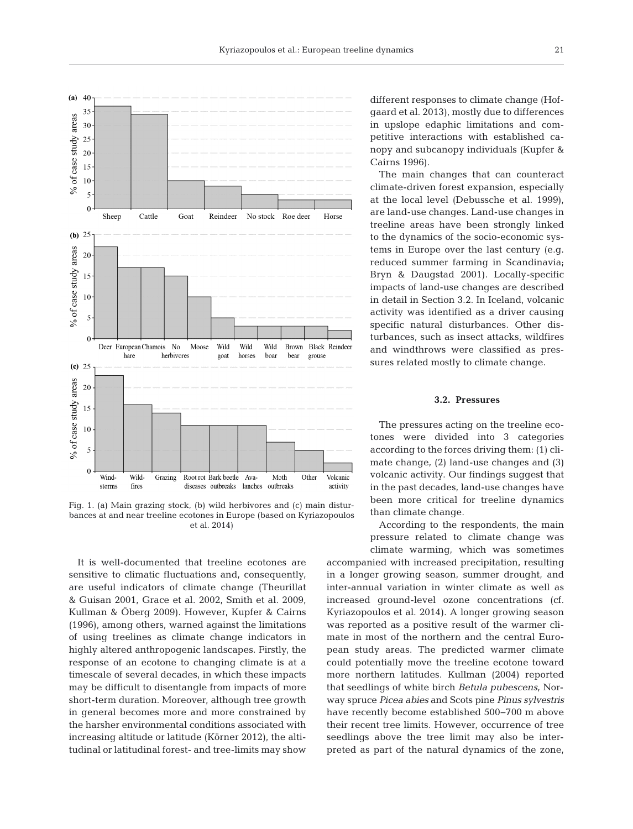

Fig. 1. (a) Main grazing stock, (b) wild herbivores and (c) main disturbances at and near treeline ecotones in Europe (based on Kyriazopoulos et al. 2014)

It is well-documented that treeline ecotones are sensitive to climatic fluctuations and, consequently, are useful indicators of climate change (Theurillat & Guisan 2001, Grace et al. 2002, Smith et al. 2009, Kullman & Öberg 2009). However, Kupfer & Cairns (1996), among others, warned against the limitations of using treelines as climate change indicators in highly altered anthropogenic landscapes. Firstly, the response of an ecotone to changing climate is at a timescale of several decades, in which these impacts may be difficult to disentangle from impacts of more short-term duration. Moreover, although tree growth in general becomes more and more constrained by the harsher environmental conditions associated with increasing altitude or latitude (Körner 2012), the altitudinal or latitudinal forest- and tree-limits may show different responses to climate change (Hofgaard et al. 2013), mostly due to differences in upslope edaphic limitations and competitive interactions with established canopy and subcanopy individuals (Kupfer & Cairns 1996).

The main changes that can counteract climate-driven forest expansion, especially at the local level (Debussche et al. 1999), are land-use changes. Land-use changes in treeline areas have been strongly linked to the dynamics of the socio-economic systems in Europe over the last century (e.g. reduced summer farming in Scandinavia; Bryn & Daugstad 2001). Locally-specific impacts of land-use changes are described in detail in Section 3.2. In Iceland, volcanic activity was identified as a driver causing specific natural disturbances. Other disturbances, such as insect attacks, wildfires and windthrows were classified as pressures related mostly to climate change.

# **3.2. Pressures**

The pressures acting on the treeline ecotones were divided into 3 categories according to the forces driving them: (1) climate change, (2) land-use changes and (3) volcanic activity. Our findings suggest that in the past decades, land-use changes have been more critical for treeline dynamics than climate change.

According to the respondents, the main pressure related to climate change was climate warming, which was sometimes

accompanied with increased precipitation, resulting in a longer growing season, summer drought, and inter-annual variation in winter climate as well as increased ground-level ozone concentrations (cf. Kyriazopoulos et al. 2014). A longer growing season was reported as a positive result of the warmer climate in most of the northern and the central European study areas. The predicted warmer climate could potentially move the treeline ecotone toward more northern latitudes. Kullman (2004) reported that seedlings of white birch *Betula pubescens*, Norway spruce *Picea abies* and Scots pine *Pinus sylvestris* have recently become established 500−700 m above their recent tree limits. However, occurrence of tree seedlings above the tree limit may also be interpreted as part of the natural dynamics of the zone,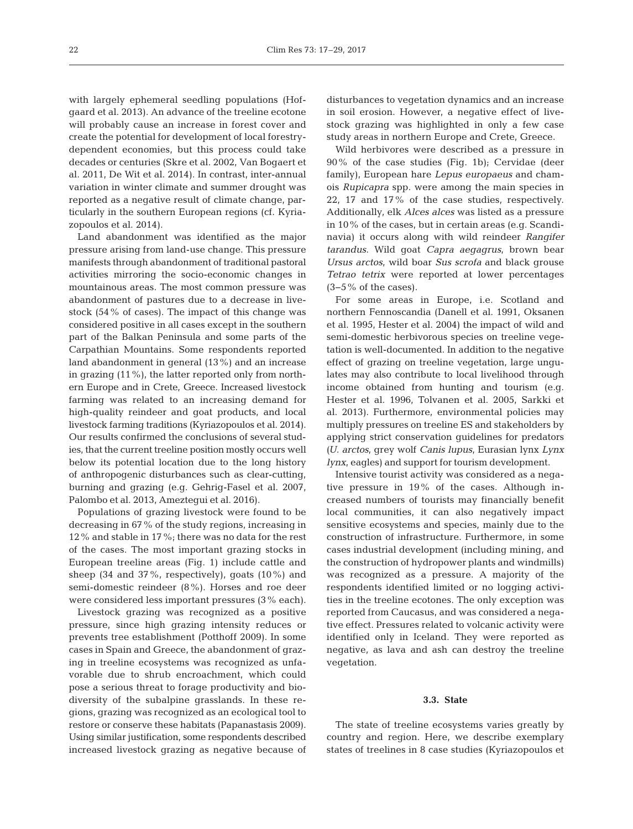with largely ephemeral seedling populations (Hofgaard et al. 2013). An advance of the treeline ecotone will probably cause an increase in forest cover and create the potential for development of local forestrydependent economies, but this process could take decades or centuries (Skre et al. 2002, Van Bogaert et al. 2011, De Wit et al. 2014). In contrast, inter-annual variation in winter climate and summer drought was reported as a negative result of climate change, particularly in the southern European regions (cf. Kyriazopoulos et al. 2014).

Land abandonment was identified as the major pressure arising from land-use change. This pressure manifests through abandonment of traditional pastoral activities mirroring the socio-economic changes in mountainous areas. The most common pressure was abandonment of pastures due to a decrease in livestock (54% of cases). The impact of this change was considered positive in all cases except in the southern part of the Balkan Peninsula and some parts of the Carpathian Mountains. Some respondents reported land abandonment in general (13%) and an increase in grazing (11%), the latter reported only from northern Europe and in Crete, Greece. Increased livestock farming was related to an increasing demand for high-quality reindeer and goat products, and local livestock farming traditions (Kyriazopoulos et al. 2014). Our results confirmed the conclusions of several studies, that the current treeline position mostly occurs well below its potential location due to the long history of anthropogenic disturbances such as clear-cutting, burning and grazing (e.g. Gehrig-Fasel et al. 2007, Palombo et al. 2013, Ameztegui et al. 2016).

Populations of grazing livestock were found to be decreasing in 67% of the study regions, increasing in 12% and stable in 17%; there was no data for the rest of the cases. The most important grazing stocks in European treeline areas (Fig. 1) include cattle and sheep (34 and 37%, respectively), goats (10%) and semi-domestic reindeer (8%). Horses and roe deer were considered less important pressures (3% each).

Livestock grazing was recognized as a positive pressure, since high grazing intensity reduces or prevents tree establishment (Potthoff 2009). In some cases in Spain and Greece, the abandonment of grazing in treeline ecosystems was recognized as unfavorable due to shrub encroachment, which could pose a serious threat to forage productivity and biodiversity of the subalpine grasslands. In these re gions, grazing was recognized as an ecological tool to restore or conserve these habitats (Papanastasis 2009). Using similar justification, some respondents described increased livestock grazing as negative because of disturbances to vegetation dynamics and an increase in soil erosion. However, a negative effect of livestock grazing was highlighted in only a few case study areas in northern Europe and Crete, Greece.

Wild herbivores were described as a pressure in 90% of the case studies (Fig. 1b); Cervidae (deer family), European hare *Lepus europaeus* and chamois *Rupicapra* spp. were among the main species in 22, 17 and 17% of the case studies, respectively. Additionally, elk *Alces alces* was listed as a pressure in 10% of the cases, but in certain areas (e.g. Scandinavia) it occurs along with wild reindeer *Rangifer tarandus*. Wild goat *Capra aegagrus*, brown bear *Ursus arctos*, wild boar *Sus scrofa* and black grouse *Tetrao tetrix* were reported at lower percentages  $(3-5\% \text{ of the cases}).$ 

For some areas in Europe, i.e. Scotland and northern Fennoscandia (Danell et al. 1991, Oksanen et al. 1995, Hester et al. 2004) the impact of wild and semi-domestic herbivorous species on treeline vegetation is well-documented. In addition to the negative effect of grazing on treeline vegetation, large ungulates may also contribute to local livelihood through income obtained from hunting and tourism (e.g. Hester et al. 1996, Tolvanen et al. 2005, Sarkki et al. 2013). Furthermore, environmental policies may multiply pressures on treeline ES and stakeholders by applying strict conservation guidelines for predators *(U. arctos*, grey wolf *Canis lupus*, Eurasian lynx *Lynx lynx*, eagles) and support for tourism development.

Intensive tourist activity was considered as a negative pressure in 19% of the cases. Although increased numbers of tourists may financially benefit local communities, it can also negatively impact sensitive ecosystems and species, mainly due to the construction of infrastructure. Furthermore, in some cases industrial development (including mining, and the construction of hydropower plants and windmills) was recognized as a pressure. A majority of the respondents identified limited or no logging activities in the treeline ecotones. The only exception was reported from Caucasus, and was considered a negative effect. Pressures related to volcanic activity were identified only in Iceland. They were reported as negative, as lava and ash can destroy the treeline vegetation.

#### **3.3. State**

The state of treeline ecosystems varies greatly by country and region. Here, we describe exemplary states of treelines in 8 case studies (Kyriazopoulos et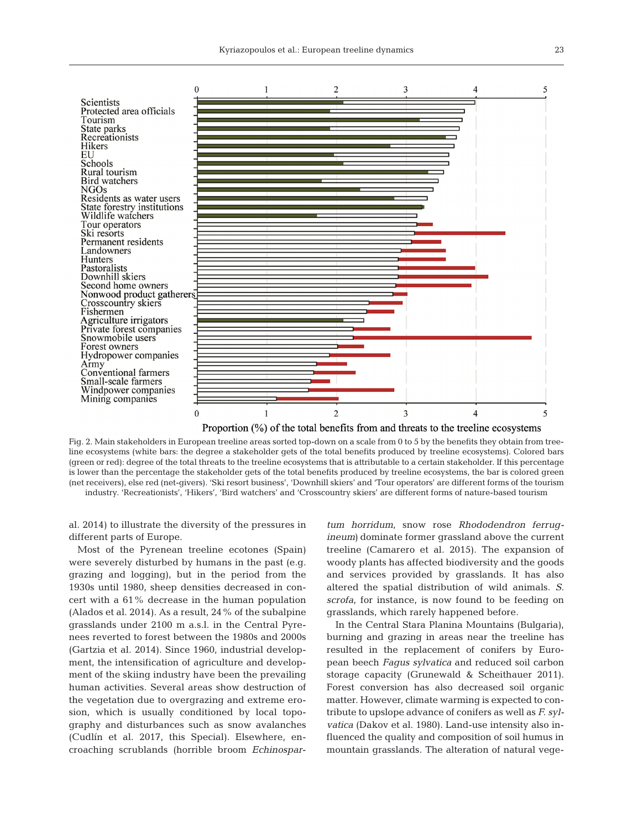

Proportion (%) of the total benefits from and threats to the treeline ecosystems

Fig. 2. Main stakeholders in European treeline areas sorted top-down on a scale from 0 to 5 by the benefits they obtain from treeline ecosystems (white bars: the degree a stakeholder gets of the total benefits produced by treeline ecosystems). Colored bars (green or red): degree of the total threats to the treeline ecosystems that is attributable to a certain stakeholder. If this percentage is lower than the percentage the stakeholder gets of the total benefits produced by treeline ecosystems, the bar is colored green (net receivers), else red (net-givers). 'Ski resort business', 'Downhill skiers' and 'Tour operators' are different forms of the tourism industry. 'Recreationists', 'Hikers', 'Bird watchers' and 'Crosscountry skiers' are different forms of nature-based tourism

al. 2014) to illustrate the diversity of the pressures in different parts of Europe.

Most of the Pyrenean treeline ecotones (Spain) were severely disturbed by humans in the past (e.g. grazing and logging), but in the period from the 1930s until 1980, sheep densities decreased in concert with a 61% decrease in the human population (Alados et al. 2014). As a result, 24% of the subalpine grasslands under 2100 m a.s.l. in the Central Pyrenees reverted to forest between the 1980s and 2000s (Gartzia et al. 2014). Since 1960, industrial development, the intensification of agriculture and development of the skiing industry have been the prevailing human activities. Several areas show destruction of the vegetation due to overgrazing and extreme erosion, which is usually conditioned by local topography and disturbances such as snow avalanches (Cudlín et al. 2017, this Special). Elsewhere, encroaching scrublands (horrible broom *Echinospar-* tum horridum, snow rose Rhododendron ferrug*ineum*) dominate former grassland above the current treeline (Camarero et al. 2015). The expansion of woody plants has affected biodiversity and the goods and services provided by grasslands. It has also altered the spatial distribution of wild animals. *S. scrofa*, for instance, is now found to be feeding on grasslands, which rarely happened before.

In the Central Stara Planina Mountains (Bulgaria), burning and grazing in areas near the treeline has resulted in the replacement of conifers by European beech *Fagus sylvatica* and reduced soil carbon storage capacity (Grunewald & Scheithauer 2011). Forest conversion has also decreased soil organic matter. However, climate warming is expected to contribute to upslope advance of conifers as well as *F. sylvatica* (Dakov et al. 1980). Land-use intensity also influenced the quality and composition of soil humus in mountain grasslands. The alteration of natural vege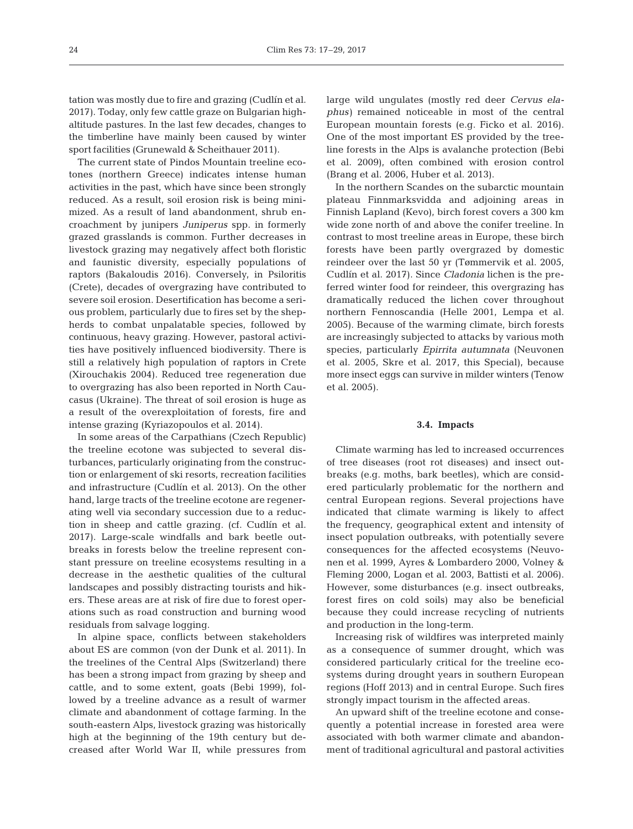tation was mostly due to fire and grazing (Cudlín et al. 2017). Today, only few cattle graze on Bulgarian highaltitude pastures. In the last few decades, changes to the timberline have mainly been caused by winter sport facilities (Grunewald & Scheithauer 2011).

The current state of Pindos Mountain treeline ecotones (northern Greece) indicates intense human activities in the past, which have since been strongly reduced. As a result, soil erosion risk is being minimized. As a result of land abandonment, shrub encroachment by junipers *Juniperus* spp. in formerly grazed grasslands is common. Further decreases in livestock grazing may negatively affect both floristic and faunistic diversity, especially populations of raptors (Bakaloudis 2016). Conversely, in Psiloritis (Crete), decades of overgrazing have contributed to severe soil erosion. Desertification has become a serious problem, particularly due to fires set by the shepherds to combat unpalatable species, followed by continuous, heavy grazing. However, pastoral activities have positively influenced biodiversity. There is still a relatively high population of raptors in Crete (Xirouchakis 2004). Reduced tree regeneration due to overgrazing has also been reported in North Caucasus (Ukraine). The threat of soil erosion is huge as a result of the overexploitation of forests, fire and intense grazing (Kyriazopoulos et al. 2014).

In some areas of the Carpathians (Czech Republic) the treeline ecotone was subjected to several dis turbances, particularly originating from the construction or enlargement of ski resorts, recreation facilities and infrastructure (Cudlín et al. 2013). On the other hand, large tracts of the treeline ecotone are regenerating well via secondary succession due to a reduction in sheep and cattle grazing. (cf. Cudlín et al. 2017). Large-scale windfalls and bark beetle outbreaks in forests below the treeline represent constant pressure on treeline ecosystems resulting in a decrease in the aesthetic qualities of the cultural landscapes and possibly distracting tourists and hikers. These areas are at risk of fire due to forest operations such as road construction and burning wood residuals from salvage logging.

In alpine space, conflicts between stakeholders about ES are common (von der Dunk et al. 2011). In the treelines of the Central Alps (Switzerland) there has been a strong impact from grazing by sheep and cattle, and to some extent, goats (Bebi 1999), followed by a treeline advance as a result of warmer climate and abandonment of cottage farming. In the south-eastern Alps, livestock grazing was historically high at the beginning of the 19th century but decreased after World War II, while pressures from

large wild ungulates (mostly red deer *Cervus elaphus*) remained noticeable in most of the central European mountain forests (e.g. Ficko et al. 2016). One of the most important ES provided by the treeline forests in the Alps is avalanche protection (Bebi et al. 2009), often combined with erosion control (Brang et al. 2006, Huber et al. 2013).

In the northern Scandes on the subarctic mountain plateau Finnmarksvidda and adjoining areas in Finnish Lapland (Kevo), birch forest covers a 300 km wide zone north of and above the conifer treeline. In contrast to most treeline areas in Europe, these birch forests have been partly overgrazed by domestic reindeer over the last 50 yr (Tømmervik et al. 2005, Cudlín et al. 2017). Since *Cladonia* lichen is the preferred winter food for reindeer, this overgrazing has dramatically reduced the lichen cover throughout northern Fennoscandia (Helle 2001, Lempa et al. 2005). Because of the warming climate, birch forests are increasingly subjected to attacks by various moth species, particularly *Epirrita autumnata* (Neuvonen et al. 2005, Skre et al. 2017, this Special), because more insect eggs can survive in milder winters (Tenow et al. 2005).

#### **3.4. Impacts**

Climate warming has led to increased occurrences of tree diseases (root rot diseases) and insect outbreaks (e.g. moths, bark beetles), which are considered particularly problematic for the northern and central European regions. Several projections have indicated that climate warming is likely to affect the frequency, geographical extent and intensity of insect population outbreaks, with potentially severe consequences for the affected ecosystems (Neuvonen et al. 1999, Ayres & Lombardero 2000, Volney & Fleming 2000, Logan et al. 2003, Battisti et al. 2006). However, some disturbances (e.g. insect outbreaks, forest fires on cold soils) may also be beneficial because they could increase recycling of nutrients and production in the long-term.

Increasing risk of wildfires was interpreted mainly as a consequence of summer drought, which was considered particularly critical for the treeline ecosystems during drought years in southern European regions (Hoff 2013) and in central Europe. Such fires strongly impact tourism in the affected areas.

An upward shift of the treeline ecotone and consequently a potential increase in forested area were associated with both warmer climate and abandonment of traditional agricultural and pastoral activities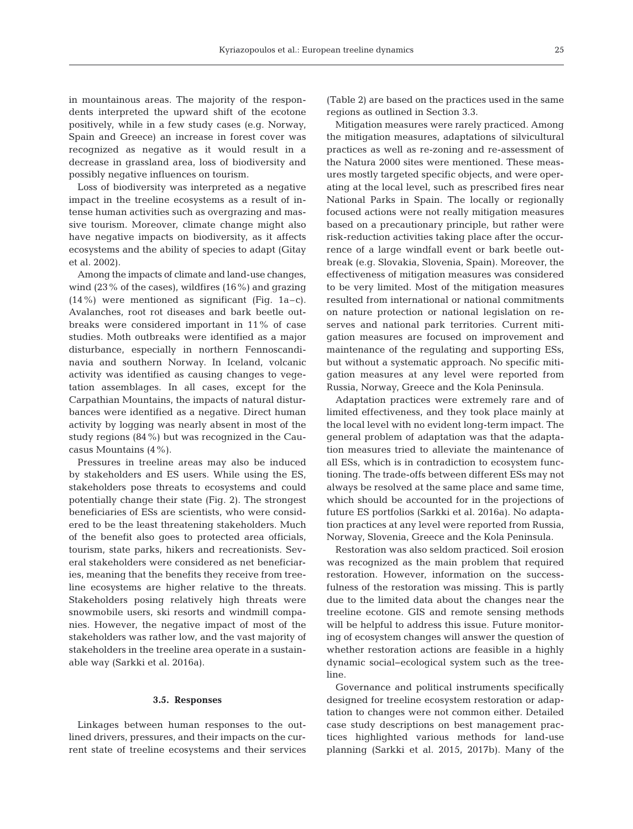in mountainous areas. The majority of the respondents interpreted the upward shift of the ecotone positively, while in a few study cases (e.g. Norway, Spain and Greece) an increase in forest cover was recognized as negative as it would result in a decrease in grassland area, loss of biodiversity and possibly negative influences on tourism.

Loss of biodiversity was interpreted as a negative impact in the treeline ecosystems as a result of intense human activities such as overgrazing and massive tourism. Moreover, climate change might also have negative impacts on biodiversity, as it affects ecosystems and the ability of species to adapt (Gitay et al. 2002).

Among the impacts of climate and land-use changes, wind (23% of the cases), wildfires (16%) and grazing (14%) were mentioned as significant (Fig. 1a–c). Avalanches, root rot diseases and bark beetle outbreaks were considered important in 11% of case studies. Moth outbreaks were identified as a major disturbance, especially in northern Fennoscandinavia and southern Norway. In Iceland, volcanic activity was identified as causing changes to vegetation assemblages. In all cases, except for the Carpathian Mountains, the impacts of natural disturbances were identified as a negative. Direct human activity by logging was nearly absent in most of the study regions (84%) but was recognized in the Caucasus Mountains (4%).

Pressures in treeline areas may also be induced by stakeholders and ES users. While using the ES, stakeholders pose threats to ecosystems and could potentially change their state (Fig. 2). The strongest beneficiaries of ESs are scientists, who were considered to be the least threatening stakeholders. Much of the benefit also goes to protected area officials, tourism, state parks, hikers and recreationists. Several stakeholders were considered as net beneficiaries, meaning that the benefits they receive from treeline ecosystems are higher relative to the threats. Stakeholders posing relatively high threats were snowmobile users, ski resorts and windmill companies. However, the negative impact of most of the stakeholders was rather low, and the vast majority of stakeholders in the treeline area operate in a sustainable way (Sarkki et al. 2016a).

#### **3.5. Responses**

Linkages between human responses to the outlined drivers, pressures, and their impacts on the current state of treeline ecosystems and their services (Table 2) are based on the practices used in the same regions as outlined in Section 3.3.

Mitigation measures were rarely practiced. Among the mitigation measures, adaptations of silvicultural practices as well as re-zoning and re-assessment of the Natura 2000 sites were mentioned. These measures mostly targeted specific objects, and were operating at the local level, such as prescribed fires near National Parks in Spain. The locally or regionally focused actions were not really mitigation measures based on a precautionary principle, but rather were risk-reduction activities taking place after the occurrence of a large windfall event or bark beetle outbreak (e.g. Slovakia, Slovenia, Spain). Moreover, the effectiveness of mitigation measures was considered to be very limited. Most of the mitigation measures resulted from international or national commitments on nature protection or national legislation on reserves and national park territories. Current mitigation measures are focused on improvement and maintenance of the regulating and supporting ESs, but without a systematic approach. No specific mitigation measures at any level were reported from Russia, Norway, Greece and the Kola Peninsula.

Adaptation practices were extremely rare and of limited effectiveness, and they took place mainly at the local level with no evident long-term impact. The general problem of adaptation was that the adaptation measures tried to alleviate the maintenance of all ESs, which is in contradiction to ecosystem functioning. The trade-offs between different ESs may not always be resolved at the same place and same time, which should be accounted for in the projections of future ES portfolios (Sarkki et al. 2016a). No adaptation practices at any level were reported from Russia, Norway, Slovenia, Greece and the Kola Peninsula.

Restoration was also seldom practiced. Soil erosion was recognized as the main problem that required restoration. However, information on the successfulness of the restoration was missing. This is partly due to the limited data about the changes near the treeline ecotone. GIS and remote sensing methods will be helpful to address this issue. Future monitoring of ecosystem changes will answer the question of whether restoration actions are feasible in a highly dynamic social−ecological system such as the treeline.

Governance and political instruments specifically designed for treeline ecosystem restoration or adaptation to changes were not common either. Detailed case study descriptions on best management practices highlighted various methods for land-use planning (Sarkki et al. 2015, 2017b). Many of the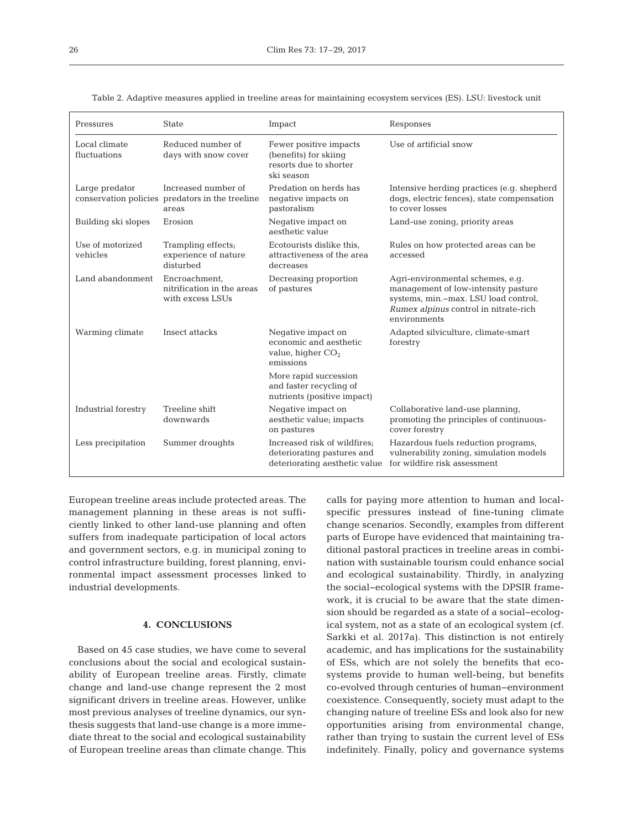| Pressures                     | <b>State</b>                                                                    | Impact                                                                                      | Responses                                                                                                                                                                |
|-------------------------------|---------------------------------------------------------------------------------|---------------------------------------------------------------------------------------------|--------------------------------------------------------------------------------------------------------------------------------------------------------------------------|
| Local climate<br>fluctuations | Reduced number of<br>days with snow cover                                       | Fewer positive impacts<br>(benefits) for skiing<br>resorts due to shorter<br>ski season     | Use of artificial snow                                                                                                                                                   |
| Large predator                | Increased number of<br>conservation policies predators in the treeline<br>areas | Predation on herds has<br>negative impacts on<br>pastoralism                                | Intensive herding practices (e.g. shepherd<br>dogs, electric fences), state compensation<br>to cover losses                                                              |
| Building ski slopes           | Erosion                                                                         | Negative impact on<br>aesthetic value                                                       | Land-use zoning, priority areas                                                                                                                                          |
| Use of motorized<br>vehicles  | Trampling effects;<br>experience of nature<br>disturbed                         | Ecotourists dislike this,<br>attractiveness of the area<br>decreases                        | Rules on how protected areas can be<br>accessed                                                                                                                          |
| Land abandonment              | Encroachment,<br>nitrification in the areas<br>with excess LSUs                 | Decreasing proportion<br>of pastures                                                        | Agri-environmental schemes, e.g.<br>management of low-intensity pasture<br>systems, min.-max. LSU load control,<br>Rumex alpinus control in nitrate-rich<br>environments |
| Warming climate               | Insect attacks                                                                  | Negative impact on<br>economic and aesthetic<br>value, higher $CO2$<br>emissions            | Adapted silviculture, climate-smart<br>forestry                                                                                                                          |
|                               |                                                                                 | More rapid succession<br>and faster recycling of<br>nutrients (positive impact)             |                                                                                                                                                                          |
| Industrial forestry           | Treeline shift<br>downwards                                                     | Negative impact on<br>aesthetic value; impacts<br>on pastures                               | Collaborative land-use planning,<br>promoting the principles of continuous-<br>cover forestry                                                                            |
| Less precipitation            | Summer droughts                                                                 | Increased risk of wildfires;<br>deteriorating pastures and<br>deteriorating aesthetic value | Hazardous fuels reduction programs,<br>vulnerability zoning, simulation models<br>for wildfire risk assessment                                                           |

Table 2. Adaptive measures applied in treeline areas for maintaining ecosystem services (ES). LSU: livestock unit

European treeline areas include protected areas. The management planning in these areas is not sufficiently linked to other land-use planning and often suffers from inadequate participation of local actors and government sectors, e.g. in municipal zoning to control infrastructure building, forest planning, environmental impact assessment processes linked to industrial developments.

## **4. CONCLUSIONS**

Based on 45 case studies, we have come to several conclusions about the social and ecological sustainability of European treeline areas. Firstly, climate change and land-use change represent the 2 most significant drivers in treeline areas. However, unlike most previous analyses of treeline dynamics, our synthesis suggests that land-use change is a more immediate threat to the social and ecological sustainability of European treeline areas than climate change. This

calls for paying more attention to human and localspecific pressures instead of fine-tuning climate change scenarios. Secondly, examples from different parts of Europe have evidenced that maintaining traditional pastoral practices in treeline areas in combination with sustainable tourism could enhance social and ecological sustainability. Thirdly, in analyzing the social−ecological systems with the DPSIR framework, it is crucial to be aware that the state dimension should be regarded as a state of a social−ecological system, not as a state of an ecological system (cf. Sarkki et al. 2017a). This distinction is not entirely academic, and has implications for the sustainability of ESs, which are not solely the benefits that ecosystems provide to human well-being, but benefits co-evolved through centuries of human−environment coexistence. Consequently, society must adapt to the changing nature of treeline ESs and look also for new opportunities arising from environmental change, rather than trying to sustain the current level of ESs indefinitely. Finally, policy and governance systems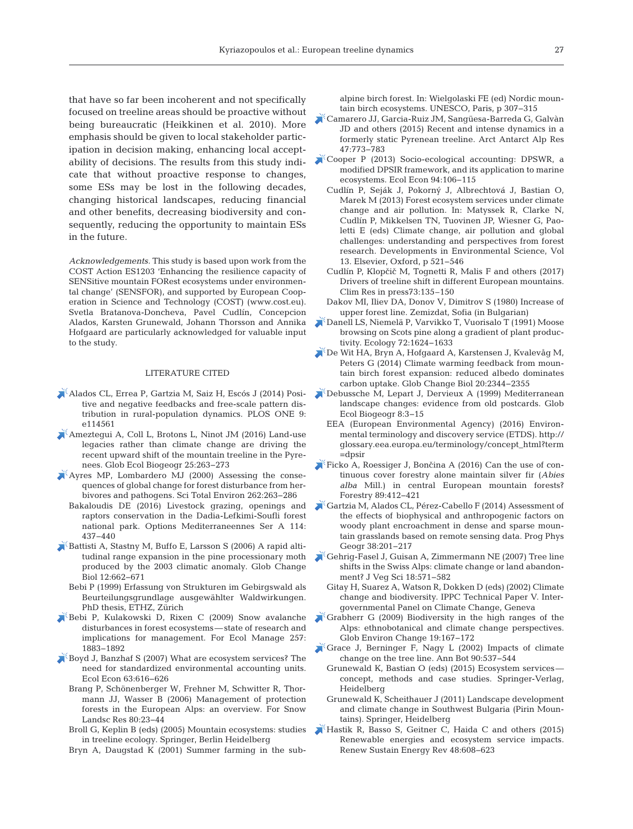that have so far been incoherent and not specifically focused on treeline areas should be proactive without being bureaucratic (Heikkinen et al. 2010). More emphasis should be given to local stakeholder participation in decision making, enhancing local acceptability of decisions. The results from this study indicate that without proactive response to changes, some ESs may be lost in the following decades, changing historical landscapes, reducing financial and other benefits, decreasing biodiversity and consequently, reducing the opportunity to maintain ESs in the future.

*Acknowledgements.* This study is based upon work from the COST Action ES1203 'Enhancing the resilience capacity of SENSitive mountain FORest ecosystems under environmental change' (SENSFOR), and supported by European Cooperation in Science and Technology (COST) (www.cost.eu). Svetla Bratanova-Doncheva, Pavel Cudlín, Concepcion Alados, Karsten Grunewald, Johann Thorsson and Annika Hofgaard are particularly acknowledged for valuable input to the study.

#### LITERATURE CITED

- [Alados CL, Errea P, Gartzia M, Saiz H, Escós J \(2014\) Posi](https://doi.org/10.1371/journal.pone.0114561)tive and negative feedbacks and free-scale pattern dis tribution in rural-population dynamics. PLOS ONE 9: e114561
- [Ameztegui A, Coll L, Brotons L, Ninot JM \(2016\) Land-use](https://doi.org/10.1111/geb.12407) legacies rather than climate change are driving the recent upward shift of the mountain treeline in the Pyrenees. Glob Ecol Biogeogr 25:263-273
- [Ayres MP, Lombardero MJ \(2000\) Assessing the conse](https://doi.org/10.1016/S0048-9697(00)00528-3)quences of global change for forest disturbance from herbivores and pathogens. Sci Total Environ 262: 263−286
	- Bakaloudis DE (2016) Livestock grazing, openings and raptors conservation in the Dadia-Lefkimi-Soufli forest national park. Options Mediterraneennes Ser A 114: 437−440
- [Battisti A, Stastny M, Buffo E, Larsson S \(2006\) A rapid alti](https://doi.org/10.1111/j.1365-2486.2006.01124.x)tudinal range expansion in the pine processionary moth produced by the 2003 climatic anomaly. Glob Change Biol 12:662-671
	- Bebi P (1999) Erfassung von Strukturen im Gebirgswald als Beurteilungsgrundlage ausgewählter Waldwirkungen. PhD thesis, ETHZ, Zürich
- [Bebi P, Kulakowski D, Rixen C \(2009\) Snow avalanche](https://doi.org/10.1016/j.foreco.2009.01.050) disturbances in forest ecosystems—state of research and implications for management. For Ecol Manage 257: 1883−1892
- [Boyd J, Banzhaf S \(2007\) What are ecosystem services? The](https://doi.org/10.1016/j.ecolecon.2007.01.002) need for standardized environmental accounting units. Ecol Econ 63:616-626
	- Brang P, Schönenberger W, Frehner M, Schwitter R, Thormann JJ, Wasser B (2006) Management of protection forests in the European Alps: an overview. For Snow Landsc Res 80:23-44
	- Broll G, Keplin B (eds) (2005) Mountain ecosystems: studies in treeline ecology. Springer, Berlin Heidelberg
	- Bryn A, Daugstad K (2001) Summer farming in the sub-

alpine birch forest. In:Wielgolaski FE (ed) Nordic mountain birch ecosystems. UNESCO, Paris, p 307−315

- [Camarero JJ, Garcia-Ruiz JM, Sangüesa-Barreda G, Galvàn](https://doi.org/10.1657/AAAR0015-001) JD and others (2015) Recent and intense dynamics in a formerly static Pyrenean treeline. Arct Antarct Alp Res 47: 773−783
- [Cooper P \(2013\) Socio-ecological accounting:DPSWR, a](https://doi.org/10.1016/j.ecolecon.2013.07.010) modified DPSIR framework, and its application to marine ecosystems. Ecol Econ 94: 106−115
	- Cudlín P, Seják J, Pokorný J, Albrechtová J, Bastian O, Marek M (2013) Forest ecosystem services under climate change and air pollution. In: Matyssek R, Clarke N, Cudlín P, Mikkelsen TN, Tuovinen JP, Wiesner G, Paoletti E (eds) Climate change, air pollution and global challenges: understanding and perspectives from forest research. Developments in Environmental Science, Vol 13. Elsevier, Oxford, p 521−546
	- Cudlín P, Klopčič M, Tognetti R, Malis F and others (2017) Drivers of treeline shift in different European mountains. Clim Res in press73:135–150
	- Dakov MI, Iliev DA, Donov V, Dimitrov S (1980) Increase of upper forest line. Zemizdat, Sofia (in Bulgarian)
- [Danell LS, Niemelä P, Varvikko T, Vuorisalo T \(1991\) Moose](https://doi.org/10.2307/1940962) browsing on Scots pine along a gradient of plant productivity. Ecology 72: 1624−1633
- [De Wit HA, Bryn A, Hofgaard A, Karstensen J, Kvalevåg M,](https://doi.org/10.1111/gcb.12483) Peters G (2014) Climate warming feedback from mountain birch forest expansion: reduced albedo dominates carbon uptake. Glob Change Biol 20: 2344−2355
- [Debussche M, Lepart J, Dervieux A \(1999\) Mediterranean](https://doi.org/10.1046/j.1365-2699.1999.00316.x) landscape changes: evidence from old postcards. Glob Ecol Biogeogr 8:3–15
	- EEA (European Environmental Agency) (2016) Environmental terminology and discovery service (ETDS). http:// glossary.eea.europa.eu/terminology/concept\_html?term =dpsir
- Ficko A, Roessiger J, Bončina A  $(2016)$  Can the use of continuous cover forestry alone maintain silver fir (*Abies alba* Mill.) in central European mountain forests? Forestry 89:412-421
- [Gartzia M, Alados CL, Pérez-Cabello F \(2014\) Assessment of](https://doi.org/10.1177/0309133314524429) the effects of biophysical and anthropogenic factors on woody plant encroachment in dense and sparse mountain grasslands based on remote sensing data. Prog Phys Geogr 38:201-217
- [Gehrig-Fasel J, Guisan A, Zimmermann NE \(2007\) Tree line](https://doi.org/10.1111/j.1654-1103.2007.tb02571.x) shifts in the Swiss Alps: climate change or land abandonment? J Veg Sci 18:571-582
	- Gitay H, Suarez A, Watson R, Dokken D (eds) (2002) Climate change and biodiversity. IPPC Technical Paper V. Intergovernmental Panel on Climate Change, Geneva
- $\sqrt{\frac{1}{2}}$  [Grabherr G \(2009\) Biodiversity in the high ranges of the](https://doi.org/10.1016/j.gloenvcha.2009.01.007) Alps: ethnobotanical and climate change perspectives. Glob Environ Change 19: 167−172
- [Grace J, Berninger F, Nagy L \(2002\) Impacts of climate](https://doi.org/10.1093/aob/mcf222) change on the tree line. Ann Bot 90:537-544
	- Grunewald K, Bastian O (eds) (2015) Ecosystem services concept, methods and case studies. Springer-Verlag, Heidelberg
	- Grunewald K, Scheithauer J (2011) Landscape development and climate change in Southwest Bulgaria (Pirin Mountains). Springer, Heidelberg
- [Hastik R, Basso S, Geitner C, Haida C and others \(2015\)](https://doi.org/10.1016/j.rser.2015.04.004) Renewable energies and ecosystem service impacts. Renew Sustain Energy Rev 48:608-623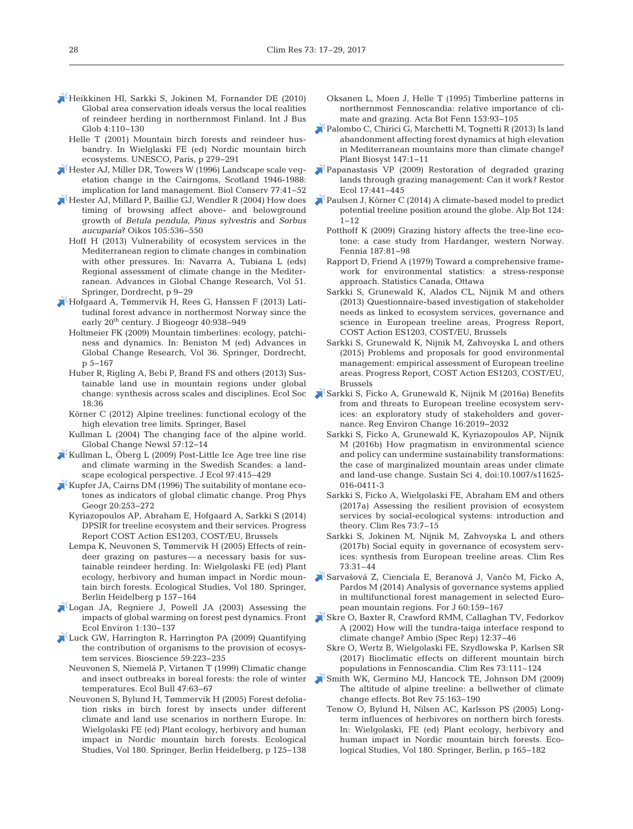- [Heikkinen HI, Sarkki S, Jokinen M, Fornander DE \(2010\)](https://doi.org/10.1504/IJBG.2010.030665) Global area conservation ideals versus the local realities of reindeer herding in northernmost Finland. Int J Bus Glob 4: 110−130
	- Helle T (2001) Mountain birch forests and reindeer husbandry. In Wielglaski FE (ed) Nordic mountain birch ecosystems. UNESCO, Paris, p 279−291
- [Hester AJ, Miller DR, Towers W \(1996\) Landscape scale veg](https://doi.org/10.1016/0006-3207(96)80650-1)etation change in the Cairngoms, Scotland 1946-1988: implication for land management. Biol Conserv 77:41-52
- [Hester AJ, Millard P, Baillie GJ, Wendler R \(2004\) How does](https://doi.org/10.1111/j.0030-1299.2004.12605.x) timing of browsing affect above- and belowground growth of *Betula pendula*, *Pinus sylvestris* and *Sorbus aucuparia*? Oikos 105: 536−550
	- Hoff H (2013) Vulnerability of ecosystem services in the Mediterranean region to climate changes in combination with other pressures. In: Navarra A, Tubiana L (eds) Regional assessment of climate change in the Mediterranean. Advances in Global Change Research, Vol 51. Springer, Dordrecht, p 9−29
- [Hofgaard A, Tømmervik H, Rees G, Hanssen F \(2013\) Lati](https://doi.org/10.1111/jbi.12053)tudinal forest advance in northermost Norway since the early 20<sup>th</sup> century. J Biogeogr 40:938-949
	- Holtmeier FK (2009) Mountain timberlines: ecology, patchiness and dynamics. In: Beniston M (ed) Advances in Global Change Research, Vol 36. Springer, Dordrecht, p 5−167
	- Huber R, Rigling A, Bebi P, Brand FS and others (2013) Sustainable land use in mountain regions under global change: synthesis across scales and disciplines. Ecol Soc 18: 36
	- Körner C (2012) Alpine treelines: functional ecology of the high elevation tree limits. Springer, Basel
	- Kullman L (2004) The changing face of the alpine world. Global Change Newsl 57: 12−14
- [Kullman L, Öberg L \(2009\) Post-Little Ice Age tree line rise](https://doi.org/10.1111/j.1365-2745.2009.01488.x) and climate warming in the Swedish Scandes: a landscape ecological perspective. J Ecol 97:415-429
- $\blacktriangleright$  [Kupfer JA, Cairns DM \(1996\) The suitability of montane eco](https://doi.org/10.1177/030913339602000301)tones as indicators of global climatic change. Prog Phys Geogr 20:253-272
	- Kyriazopoulos AP, Abraham E, Hofgaard A, Sarkki S (2014) DPSIR for treeline ecosystem and their services. Progress Report COST Action ES1203, COST/EU, Brussels
	- Lempa K, Neuvonen S, Tømmervik H (2005) Effects of reindeer grazing on pastures—a necessary basis for sustainable reindeer herding. In:Wielgolaski FE (ed) Plant ecology, herbivory and human impact in Nordic mountain birch forests. Ecological Studies, Vol 180. Springer, Berlin Heidelberg p 157−164
- [Logan JA, Regniere J, Powell JA \(2003\) Assessing the](https://doi.org/10.1890/1540-9295(2003)001%5b0130%3AATIOGW%5d2.0.CO%3B2) impacts of global warming on forest pest dynamics. Front Ecol Environ 1: 130−137
- [Luck GW, Harrington R, Harrington PA \(2009\) Quantifying](https://doi.org/10.1525/bio.2009.59.3.7) the contribution of organisms to the provision of ecosystem services. Bioscience 59:223-235
	- Neuvonen S, Niemelä P, Virtanen T (1999) Climatic change and insect outbreaks in boreal forests: the role of winter temperatures. Ecol Bull 47:63-67
	- Neuvonen S, Bylund H, Tømmervik H (2005) Forest defoliation risks in birch forest by insects under different climate and land use scenarios in northern Europe. In: Wielgolaski FE (ed) Plant ecology, herbivory and human impact in Nordic mountain birch forests. Ecological Studies, Vol 180. Springer, Berlin Heidelberg, p 125−138
- Oksanen L, Moen J, Helle T (1995) Timberline patterns in northernmost Fennoscandia: relative importance of climate and grazing. Acta Bot Fenn 153:93-105
- [Palombo C, Chirici G, Marchetti M, Tognetti R \(2013\) Is land](https://doi.org/10.1080/11263504.2013.772081) abandonment affecting forest dynamics at high elevation in Mediterranean mountains more than climate change? Plant Biosyst 147: 1−11
- [Papanastasis VP \(2009\) Restoration of degraded grazing](https://doi.org/10.1111/j.1526-100X.2009.00567.x) lands through grazing management:Can it work? Restor Ecol 17: 441−445
- [Paulsen J, Körner C \(2014\) A climate-based model to predict](https://doi.org/10.1007/s00035-014-0124-0) potential treeline position around the globe. Alp Bot 124: 1−12
	- Potthoff K (2009) Grazing history affects the tree-line ecotone: a case study from Hardanger, western Norway. Fennia 187:81-98
	- Rapport D, Friend A (1979) Toward a comprehensive framework for environmental statistics: a stress-response approach. Statistics Canada, Ottawa
	- Sarkki S, Grunewald K, Alados CL, Nijnik M and others (2013) Questionnaire-based investigation of stakeholder needs as linked to ecosystem services, governance and science in European treeline areas, Progress Report, COST Action ES1203, COST/EU, Brussels
	- Sarkki S, Grunewald K, Nijnik M, Zahvoyska L and others (2015) Problems and proposals for good environmental management: empirical assessment of European treeline areas. Progress Report, COST Action ES1203, COST/EU, Brussels
- [Sarkki S, Ficko A, Grunewald K, Nijnik M \(2016a\) Benefits](https://doi.org/10.1007/s10113-015-0812-3) from and threats to European treeline ecosystem services: an exploratory study of stakeholders and governance. Reg Environ Change 16:2019–2032
	- Sarkki S, Ficko A, Grunewald K, Kyriazopoulos AP, Nijnik M (2016b) How pragmatism in environmental science and policy can undermine sustainability transformations: the case of marginalized mountain areas under climate and land-use change. Sustain Sci 4, doi: 10.1007/s11625- 016-0411-3
	- Sarkki S, Ficko A, Wielgolaski FE, Abraham EM and others (2017a) Assessing the resilient provision of ecosystem services by social-ecological systems: introduction and theory. Clim Res 73:7–15
	- Sarkki S, Jokinen M, Nijnik M, Zahvoyska L and others (2017b) Social equity in governance of ecosystem services: synthesis from European treeline areas. Clim Res 73:31–44
- [Sarvašová Z, Cienciala E, Beranová J, Vanˇco M, Ficko A,](https://doi.org/10.2478/forj-2014-0017) Pardos M (2014) Analysis of governance systems applied in multifunctional forest management in selected European mountain regions. For J 60: 159−167
- [Skre O, Baxter R, Crawford RMM, Callaghan TV, Fedorkov](https://www.ncbi.nlm.nih.gov/entrez/query.fcgi?cmd=Retrieve&db=PubMed&list_uids=12374058&dopt=Abstract) A (2002) How will the tundra-taiga interface respond to climate change? Ambio (Spec Rep) 12: 37−46
	- Skre O, Wertz B, Wielgolaski FE, Szydlowska P, Karlsen SR (2017) Bioclimatic effects on different mountain birch populations in Fennoscandia. Clim Res 73:111–124
- [Smith WK, Germino MJ, Hancock TE, Johnson DM \(2009\)](https://doi.org/10.1007/s12229-009-9030-3) The altitude of alpine treeline: a bellwether of climate change effects. Bot Rev 75: 163−190
	- Tenow O, Bylund H, Nilsen AC, Karlsson PS (2005) Longterm influences of herbivores on northern birch forests. In: Wielgolaski, FE (ed) Plant ecology, herbivory and human impact in Nordic mountain birch forests. Ecological Studies, Vol 180. Springer, Berlin, p 165−182